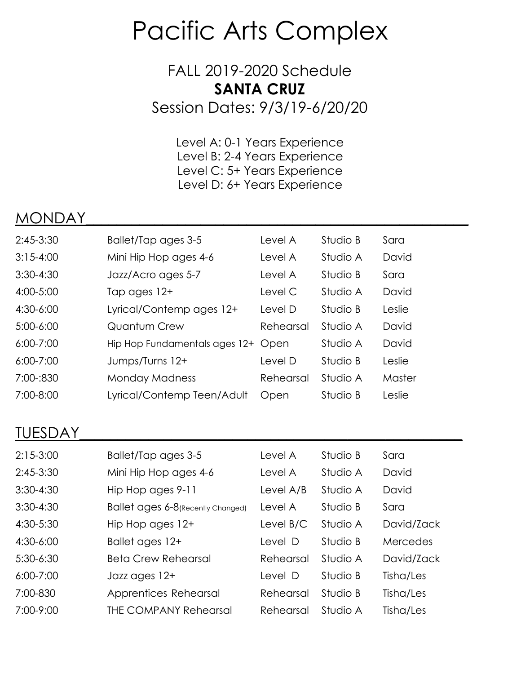## Pacific Arts Complex

## FALL 2019-2020 Schedule **SANTA CRUZ**

Session Dates: 9/3/19-6/20/20

Level A: 0-1 Years Experience Level B: 2-4 Years Experience Level C: 5+ Years Experience Level D: 6+ Years Experience

## MONDAY\_\_\_\_\_\_\_\_\_\_\_\_\_\_\_\_\_\_\_\_\_\_\_\_\_\_\_\_\_\_\_\_\_\_\_\_\_\_\_\_\_\_\_\_\_\_\_\_\_\_

| $2:45-3:30$   | Ballet/Tap ages 3-5           | Level A   | Studio B | Sara   |
|---------------|-------------------------------|-----------|----------|--------|
| $3:15 - 4:00$ | Mini Hip Hop ages 4-6         | Level A   | Studio A | David  |
| $3:30-4:30$   | Jazz/Acro ages 5-7            | Level A   | Studio B | Sara   |
| 4:00-5:00     | Tap ages 12+                  | Level C   | Studio A | David  |
| 4:30-6:00     | Lyrical/Contemp ages 12+      | Level D   | Studio B | Leslie |
| $5:00-6:00$   | <b>Quantum Crew</b>           | Rehearsal | Studio A | David  |
| $6:00 - 7:00$ | Hip Hop Fundamentals ages 12+ | Open      | Studio A | David  |
| $6:00 - 7:00$ | Jumps/Turns 12+               | Level D   | Studio B | Leslie |
| 7:00-:830     | <b>Monday Madness</b>         | Rehearsal | Studio A | Master |
| 7:00-8:00     | Lyrical/Contemp Teen/Adult    | Open      | Studio B | Leslie |

## TUESDAY\_\_\_\_\_\_\_\_\_\_\_\_\_\_\_\_\_\_\_\_\_\_\_\_\_\_\_\_\_\_\_\_\_\_\_\_\_\_\_\_\_\_\_\_\_\_\_\_\_\_

| $2:15-3:00$   | Ballet/Tap ages 3-5                | Level A   | Studio B | Sara       |
|---------------|------------------------------------|-----------|----------|------------|
| $2:45-3:30$   | Mini Hip Hop ages 4-6              | Level A   | Studio A | David      |
| $3:30-4:30$   | Hip Hop ages 9-11                  | Level A/B | Studio A | David      |
| $3:30-4:30$   | Ballet ages 6-8 (Recently Changed) | Level A   | Studio B | Sara       |
| 4:30-5:30     | Hip Hop ages 12+                   | Level B/C | Studio A | David/Zack |
| $4:30-6:00$   | Ballet ages 12+                    | Level D   | Studio B | Mercedes   |
| $5:30-6:30$   | <b>Beta Crew Rehearsal</b>         | Rehearsal | Studio A | David/Zack |
| $6:00 - 7:00$ | Jazz ages 12+                      | Level D   | Studio B | Tisha/Les  |
| 7:00-830      | Apprentices Rehearsal              | Rehearsal | Studio B | Tisha/Les  |
| 7:00-9:00     | THE COMPANY Rehearsal              | Rehearsal | Studio A | Tisha/Les  |